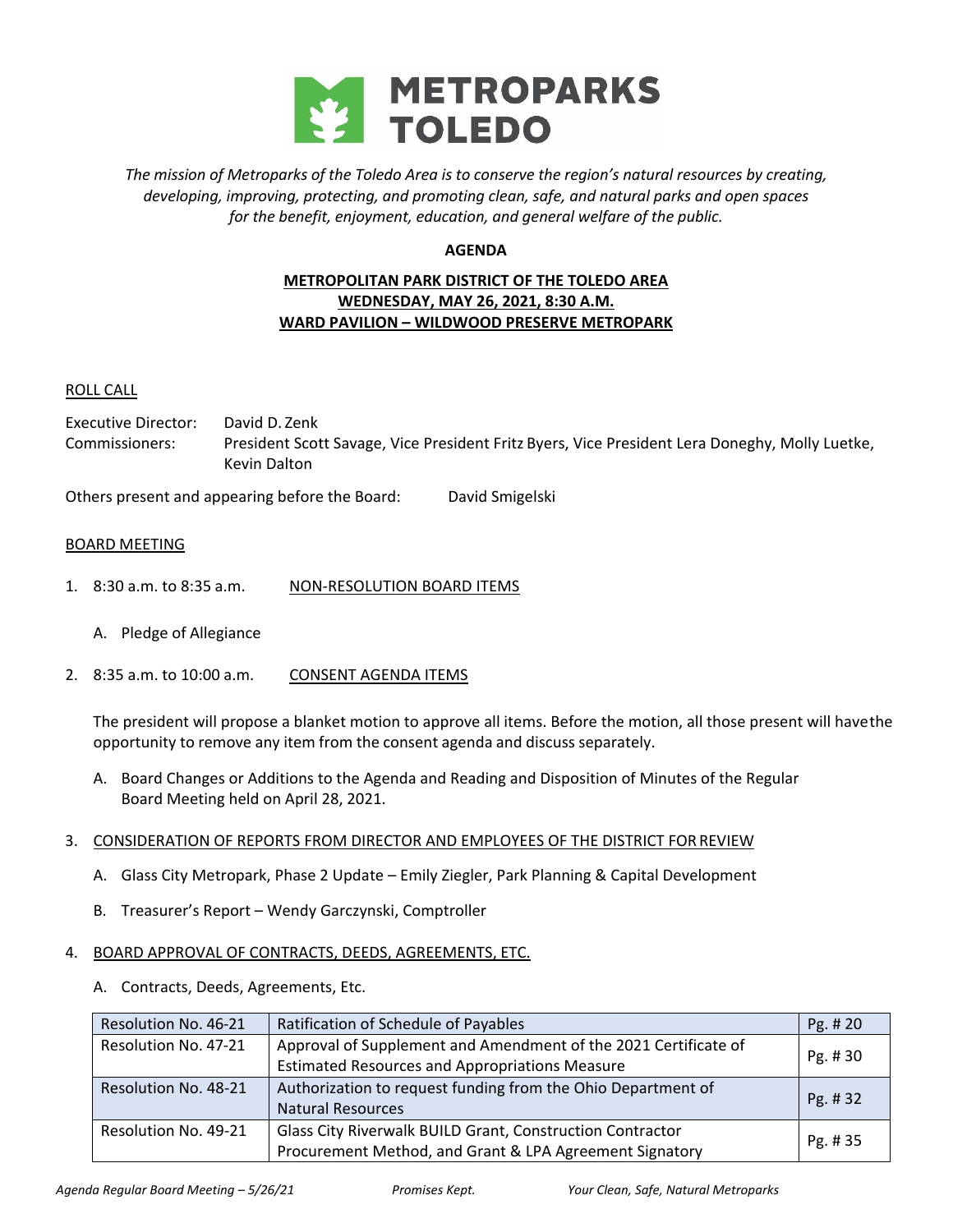

*The mission of Metroparks of the Toledo Area is to conserve the region's natural resources by creating, developing, improving, protecting, and promoting clean, safe, and natural parks and open spaces for the benefit, enjoyment, education, and general welfare of the public.* 

## **AGENDA**

# **METROPOLITAN PARK DISTRICT OF THE TOLEDO AREA WEDNESDAY, MAY 26, 2021, 8:30 A.M. WARD PAVILION – WILDWOOD PRESERVE METROPARK**

# ROLL CALL

Executive Director: David D. Zenk Commissioners: President Scott Savage, Vice President Fritz Byers, Vice President Lera Doneghy, Molly Luetke, Kevin Dalton

Others present and appearing before the Board: David Smigelski

## BOARD MEETING

- 1. 8:30 a.m. to 8:35 a.m. NON‐RESOLUTION BOARD ITEMS
	- A. Pledge of Allegiance
- 2. 8:35 a.m. to 10:00 a.m. CONSENT AGENDA ITEMS

The president will propose a blanket motion to approve all items. Before the motion, all those present will have the opportunity to remove any item from the consent agenda and discuss separately.

A. Board Changes or Additions to the Agenda and Reading and Disposition of Minutes of the Regular Board Meeting held on April 28, 2021.

### 3. CONSIDERATION OF REPORTS FROM DIRECTOR AND EMPLOYEES OF THE DISTRICT FOR REVIEW

- A. Glass City Metropark, Phase 2 Update Emily Ziegler, Park Planning & Capital Development
- B. Treasurer's Report Wendy Garczynski, Comptroller

### 4. BOARD APPROVAL OF CONTRACTS, DEEDS, AGREEMENTS, ETC.

A. Contracts, Deeds, Agreements, Etc.

| Resolution No. 46-21 | Ratification of Schedule of Payables                                                                                     | Pg. # 20 |
|----------------------|--------------------------------------------------------------------------------------------------------------------------|----------|
| Resolution No. 47-21 | Approval of Supplement and Amendment of the 2021 Certificate of<br><b>Estimated Resources and Appropriations Measure</b> | Pg. #30  |
| Resolution No. 48-21 | Authorization to request funding from the Ohio Department of<br><b>Natural Resources</b>                                 | Pg. #32  |
| Resolution No. 49-21 | Glass City Riverwalk BUILD Grant, Construction Contractor<br>Procurement Method, and Grant & LPA Agreement Signatory     | Pg. #35  |